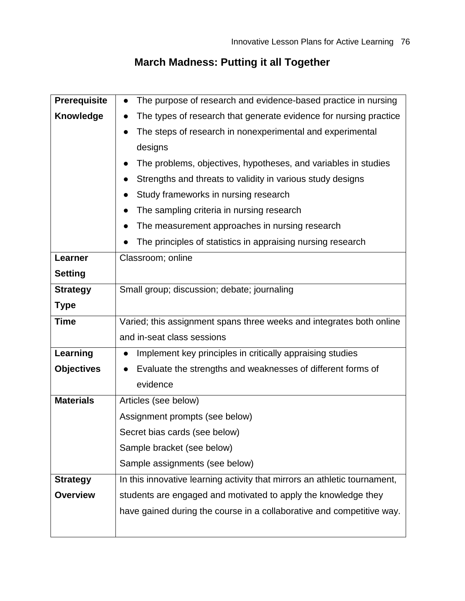# **March Madness: Putting it all Together**

| <b>Prerequisite</b> | The purpose of research and evidence-based practice in nursing<br>$\bullet$ |  |  |  |  |  |
|---------------------|-----------------------------------------------------------------------------|--|--|--|--|--|
| <b>Knowledge</b>    | The types of research that generate evidence for nursing practice           |  |  |  |  |  |
|                     | The steps of research in nonexperimental and experimental                   |  |  |  |  |  |
|                     | designs                                                                     |  |  |  |  |  |
|                     | The problems, objectives, hypotheses, and variables in studies              |  |  |  |  |  |
|                     | Strengths and threats to validity in various study designs                  |  |  |  |  |  |
|                     | Study frameworks in nursing research                                        |  |  |  |  |  |
|                     | The sampling criteria in nursing research                                   |  |  |  |  |  |
|                     | The measurement approaches in nursing research                              |  |  |  |  |  |
|                     | The principles of statistics in appraising nursing research                 |  |  |  |  |  |
| Learner             | Classroom; online                                                           |  |  |  |  |  |
| <b>Setting</b>      |                                                                             |  |  |  |  |  |
| <b>Strategy</b>     | Small group; discussion; debate; journaling                                 |  |  |  |  |  |
| <b>Type</b>         |                                                                             |  |  |  |  |  |
| <b>Time</b>         | Varied; this assignment spans three weeks and integrates both online        |  |  |  |  |  |
|                     | and in-seat class sessions                                                  |  |  |  |  |  |
| Learning            | Implement key principles in critically appraising studies                   |  |  |  |  |  |
| <b>Objectives</b>   | Evaluate the strengths and weaknesses of different forms of                 |  |  |  |  |  |
|                     | evidence                                                                    |  |  |  |  |  |
| <b>Materials</b>    | Articles (see below)                                                        |  |  |  |  |  |
|                     | Assignment prompts (see below)                                              |  |  |  |  |  |
|                     | Secret bias cards (see below)                                               |  |  |  |  |  |
|                     | Sample bracket (see below)                                                  |  |  |  |  |  |
|                     | Sample assignments (see below)                                              |  |  |  |  |  |
| <b>Strategy</b>     | In this innovative learning activity that mirrors an athletic tournament,   |  |  |  |  |  |
| <b>Overview</b>     | students are engaged and motivated to apply the knowledge they              |  |  |  |  |  |
|                     | have gained during the course in a collaborative and competitive way.       |  |  |  |  |  |
|                     |                                                                             |  |  |  |  |  |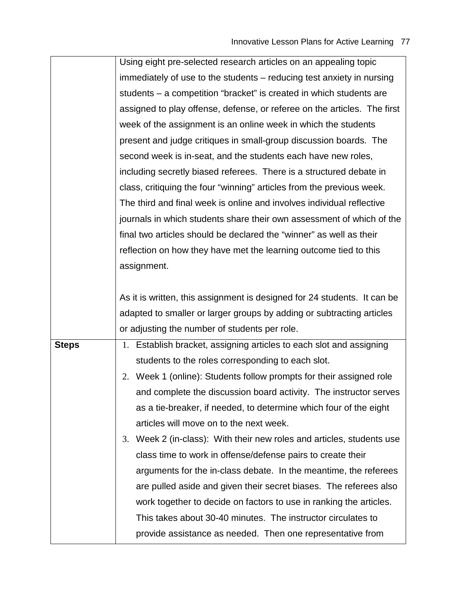|              | Using eight pre-selected research articles on an appealing topic         |  |  |  |  |  |
|--------------|--------------------------------------------------------------------------|--|--|--|--|--|
|              | immediately of use to the students – reducing test anxiety in nursing    |  |  |  |  |  |
|              | students – a competition "bracket" is created in which students are      |  |  |  |  |  |
|              | assigned to play offense, defense, or referee on the articles. The first |  |  |  |  |  |
|              | week of the assignment is an online week in which the students           |  |  |  |  |  |
|              | present and judge critiques in small-group discussion boards. The        |  |  |  |  |  |
|              | second week is in-seat, and the students each have new roles,            |  |  |  |  |  |
|              | including secretly biased referees. There is a structured debate in      |  |  |  |  |  |
|              | class, critiquing the four "winning" articles from the previous week.    |  |  |  |  |  |
|              | The third and final week is online and involves individual reflective    |  |  |  |  |  |
|              | journals in which students share their own assessment of which of the    |  |  |  |  |  |
|              | final two articles should be declared the "winner" as well as their      |  |  |  |  |  |
|              | reflection on how they have met the learning outcome tied to this        |  |  |  |  |  |
|              | assignment.                                                              |  |  |  |  |  |
|              |                                                                          |  |  |  |  |  |
|              | As it is written, this assignment is designed for 24 students. It can be |  |  |  |  |  |
|              | adapted to smaller or larger groups by adding or subtracting articles    |  |  |  |  |  |
|              | or adjusting the number of students per role.                            |  |  |  |  |  |
| <b>Steps</b> | 1. Establish bracket, assigning articles to each slot and assigning      |  |  |  |  |  |
|              | students to the roles corresponding to each slot.                        |  |  |  |  |  |
|              | Week 1 (online): Students follow prompts for their assigned role<br>2.   |  |  |  |  |  |
|              | and complete the discussion board activity. The instructor serves        |  |  |  |  |  |
|              | as a tie-breaker, if needed, to determine which four of the eight        |  |  |  |  |  |
|              | articles will move on to the next week.                                  |  |  |  |  |  |
|              | Week 2 (in-class): With their new roles and articles, students use<br>3. |  |  |  |  |  |
|              | class time to work in offense/defense pairs to create their              |  |  |  |  |  |
|              | arguments for the in-class debate. In the meantime, the referees         |  |  |  |  |  |
|              | are pulled aside and given their secret biases. The referees also        |  |  |  |  |  |
|              | work together to decide on factors to use in ranking the articles.       |  |  |  |  |  |
|              | This takes about 30-40 minutes. The instructor circulates to             |  |  |  |  |  |
|              | provide assistance as needed. Then one representative from               |  |  |  |  |  |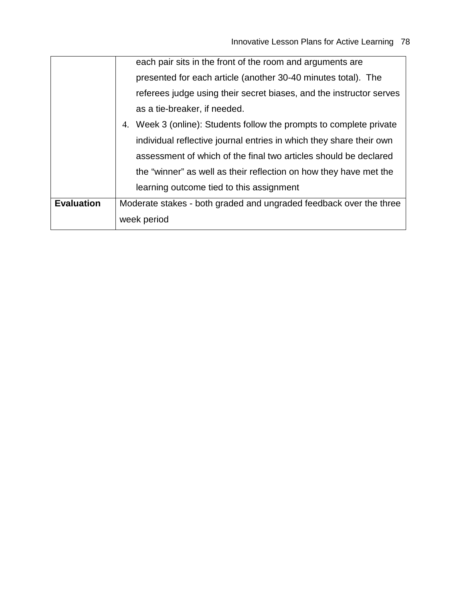|                   | each pair sits in the front of the room and arguments are              |  |  |  |  |
|-------------------|------------------------------------------------------------------------|--|--|--|--|
|                   | presented for each article (another 30-40 minutes total). The          |  |  |  |  |
|                   | referees judge using their secret biases, and the instructor serves    |  |  |  |  |
|                   | as a tie-breaker, if needed.                                           |  |  |  |  |
|                   | Week 3 (online): Students follow the prompts to complete private<br>4. |  |  |  |  |
|                   | individual reflective journal entries in which they share their own    |  |  |  |  |
|                   | assessment of which of the final two articles should be declared       |  |  |  |  |
|                   | the "winner" as well as their reflection on how they have met the      |  |  |  |  |
|                   | learning outcome tied to this assignment                               |  |  |  |  |
| <b>Evaluation</b> | Moderate stakes - both graded and ungraded feedback over the three     |  |  |  |  |
|                   | week period                                                            |  |  |  |  |
|                   |                                                                        |  |  |  |  |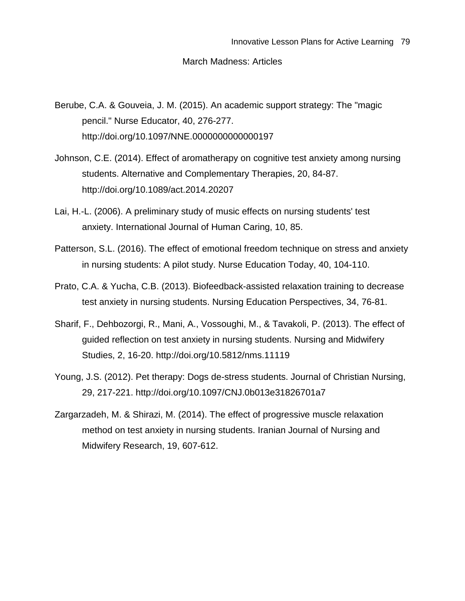#### March Madness: Articles

- Berube, C.A. & Gouveia, J. M. (2015). An academic support strategy: The "magic pencil." Nurse Educator, 40, 276-277. http://doi.org/10.1097/NNE.0000000000000197
- Johnson, C.E. (2014). Effect of aromatherapy on cognitive test anxiety among nursing students. Alternative and Complementary Therapies, 20, 84-87. http://doi.org/10.1089/act.2014.20207
- Lai, H.-L. (2006). A preliminary study of music effects on nursing students' test anxiety. International Journal of Human Caring, 10, 85.
- Patterson, S.L. (2016). The effect of emotional freedom technique on stress and anxiety in nursing students: A pilot study. Nurse Education Today, 40, 104-110.
- Prato, C.A. & Yucha, C.B. (2013). Biofeedback-assisted relaxation training to decrease test anxiety in nursing students. Nursing Education Perspectives, 34, 76-81.
- Sharif, F., Dehbozorgi, R., Mani, A., Vossoughi, M., & Tavakoli, P. (2013). The effect of guided reflection on test anxiety in nursing students. Nursing and Midwifery Studies, 2, 16-20. http://doi.org/10.5812/nms.11119
- Young, J.S. (2012). Pet therapy: Dogs de-stress students. Journal of Christian Nursing, 29, 217-221. http://doi.org/10.1097/CNJ.0b013e31826701a7
- Zargarzadeh, M. & Shirazi, M. (2014). The effect of progressive muscle relaxation method on test anxiety in nursing students. Iranian Journal of Nursing and Midwifery Research, 19, 607-612.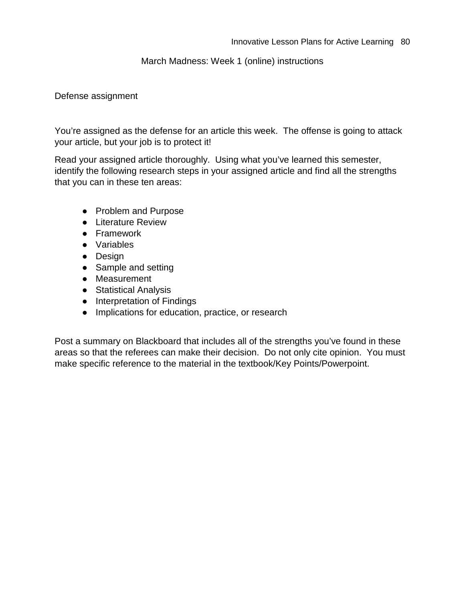#### March Madness: Week 1 (online) instructions

#### Defense assignment

You're assigned as the defense for an article this week. The offense is going to attack your article, but your job is to protect it!

Read your assigned article thoroughly. Using what you've learned this semester, identify the following research steps in your assigned article and find all the strengths that you can in these ten areas:

- Problem and Purpose
- Literature Review
- Framework
- Variables
- Design
- Sample and setting
- Measurement
- Statistical Analysis
- Interpretation of Findings
- Implications for education, practice, or research

Post a summary on Blackboard that includes all of the strengths you've found in these areas so that the referees can make their decision. Do not only cite opinion. You must make specific reference to the material in the textbook/Key Points/Powerpoint.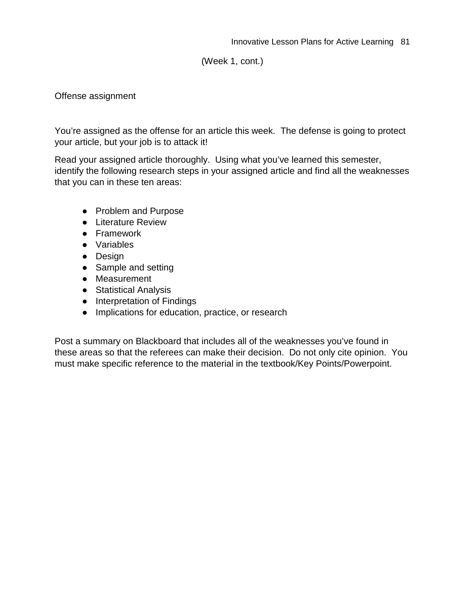(Week 1, cont.)

#### Offense assignment

You're assigned as the offense for an article this week. The defense is going to protect your article, but your job is to attack it!

Read your assigned article thoroughly. Using what you've learned this semester, identify the following research steps in your assigned article and find all the weaknesses that you can in these ten areas:

- Problem and Purpose
- Literature Review
- Framework
- Variables
- Design
- Sample and setting
- Measurement
- Statistical Analysis
- Interpretation of Findings
- Implications for education, practice, or research

Post a summary on Blackboard that includes all of the weaknesses you've found in these areas so that the referees can make their decision. Do not only cite opinion. You must make specific reference to the material in the textbook/Key Points/Powerpoint.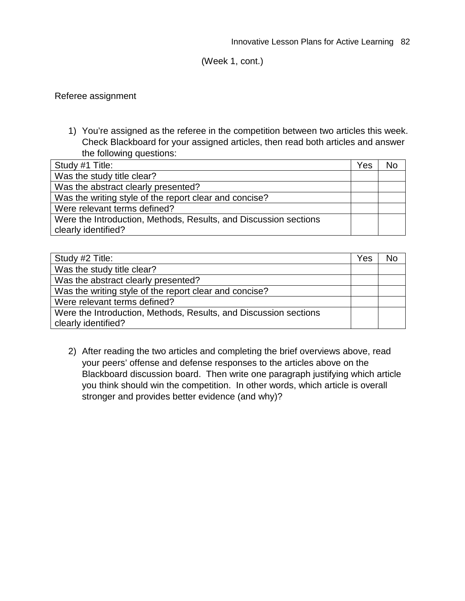(Week 1, cont.)

#### Referee assignment

1) You're assigned as the referee in the competition between two articles this week. Check Blackboard for your assigned articles, then read both articles and answer the following questions:

| Study #1 Title:                                                                         | Yes | No |
|-----------------------------------------------------------------------------------------|-----|----|
| Was the study title clear?                                                              |     |    |
| Was the abstract clearly presented?                                                     |     |    |
| Was the writing style of the report clear and concise?                                  |     |    |
| Were relevant terms defined?                                                            |     |    |
| Were the Introduction, Methods, Results, and Discussion sections<br>clearly identified? |     |    |

| Study #2 Title:                                                  | Yes | No |
|------------------------------------------------------------------|-----|----|
| Was the study title clear?                                       |     |    |
| Was the abstract clearly presented?                              |     |    |
| Was the writing style of the report clear and concise?           |     |    |
| Were relevant terms defined?                                     |     |    |
| Were the Introduction, Methods, Results, and Discussion sections |     |    |
| clearly identified?                                              |     |    |

2) After reading the two articles and completing the brief overviews above, read your peers' offense and defense responses to the articles above on the Blackboard discussion board. Then write one paragraph justifying which article you think should win the competition. In other words, which article is overall stronger and provides better evidence (and why)?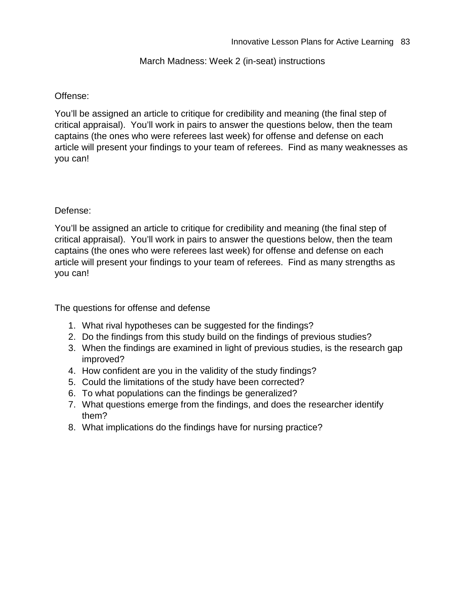#### March Madness: Week 2 (in-seat) instructions

#### Offense:

You'll be assigned an article to critique for credibility and meaning (the final step of critical appraisal). You'll work in pairs to answer the questions below, then the team captains (the ones who were referees last week) for offense and defense on each article will present your findings to your team of referees. Find as many weaknesses as you can!

#### Defense:

You'll be assigned an article to critique for credibility and meaning (the final step of critical appraisal). You'll work in pairs to answer the questions below, then the team captains (the ones who were referees last week) for offense and defense on each article will present your findings to your team of referees. Find as many strengths as you can!

The questions for offense and defense

- 1. What rival hypotheses can be suggested for the findings?
- 2. Do the findings from this study build on the findings of previous studies?
- 3. When the findings are examined in light of previous studies, is the research gap improved?
- 4. How confident are you in the validity of the study findings?
- 5. Could the limitations of the study have been corrected?
- 6. To what populations can the findings be generalized?
- 7. What questions emerge from the findings, and does the researcher identify them?
- 8. What implications do the findings have for nursing practice?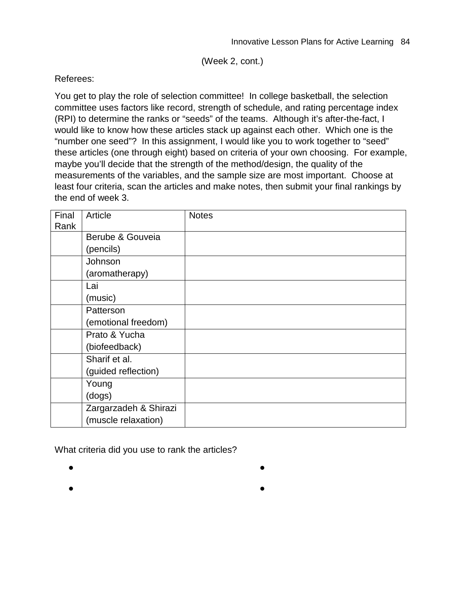(Week 2, cont.)

#### Referees:

You get to play the role of selection committee! In college basketball, the selection committee uses factors like record, strength of schedule, and rating percentage index (RPI) to determine the ranks or "seeds" of the teams. Although it's after-the-fact, I would like to know how these articles stack up against each other. Which one is the "number one seed"? In this assignment, I would like you to work together to "seed" these articles (one through eight) based on criteria of your own choosing. For example, maybe you'll decide that the strength of the method/design, the quality of the measurements of the variables, and the sample size are most important. Choose at least four criteria, scan the articles and make notes, then submit your final rankings by the end of week 3.

| Final<br>Rank | Article               | <b>Notes</b> |
|---------------|-----------------------|--------------|
|               | Berube & Gouveia      |              |
|               | (pencils)             |              |
|               | Johnson               |              |
|               | (aromatherapy)        |              |
|               | Lai                   |              |
|               | (music)               |              |
|               | Patterson             |              |
|               | (emotional freedom)   |              |
|               | Prato & Yucha         |              |
|               | (biofeedback)         |              |
|               | Sharif et al.         |              |
|               | (guided reflection)   |              |
|               | Young                 |              |
|               | (dogs)                |              |
|               | Zargarzadeh & Shirazi |              |
|               | (muscle relaxation)   |              |

What criteria did you use to rank the articles?

- ●
- ●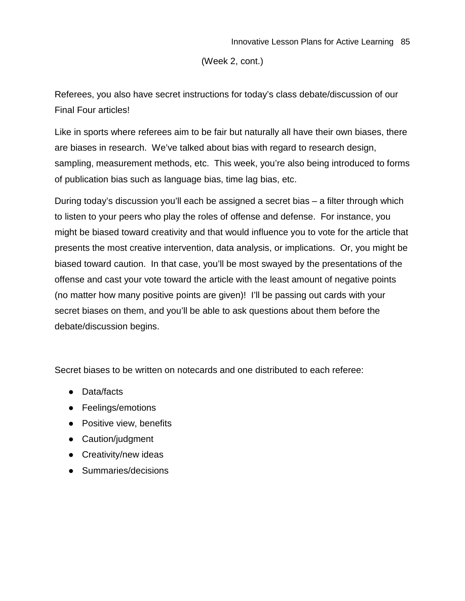(Week 2, cont.)

Referees, you also have secret instructions for today's class debate/discussion of our Final Four articles!

Like in sports where referees aim to be fair but naturally all have their own biases, there are biases in research. We've talked about bias with regard to research design, sampling, measurement methods, etc. This week, you're also being introduced to forms of publication bias such as language bias, time lag bias, etc.

During today's discussion you'll each be assigned a secret bias – a filter through which to listen to your peers who play the roles of offense and defense. For instance, you might be biased toward creativity and that would influence you to vote for the article that presents the most creative intervention, data analysis, or implications. Or, you might be biased toward caution. In that case, you'll be most swayed by the presentations of the offense and cast your vote toward the article with the least amount of negative points (no matter how many positive points are given)! I'll be passing out cards with your secret biases on them, and you'll be able to ask questions about them before the debate/discussion begins.

Secret biases to be written on notecards and one distributed to each referee:

- Data/facts
- Feelings/emotions
- Positive view, benefits
- Caution/judgment
- Creativity/new ideas
- Summaries/decisions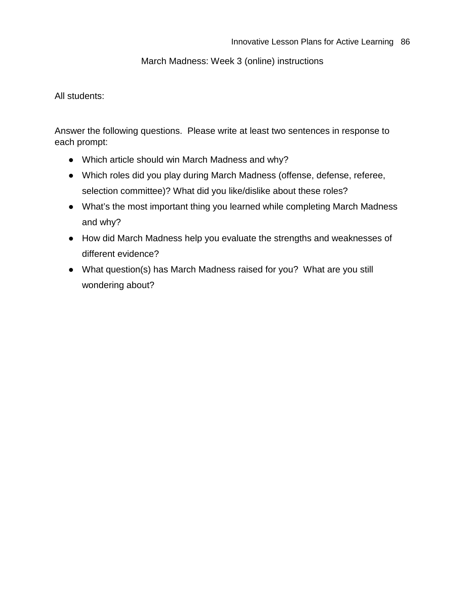#### March Madness: Week 3 (online) instructions

### All students:

Answer the following questions. Please write at least two sentences in response to each prompt:

- Which article should win March Madness and why?
- Which roles did you play during March Madness (offense, defense, referee, selection committee)? What did you like/dislike about these roles?
- What's the most important thing you learned while completing March Madness and why?
- How did March Madness help you evaluate the strengths and weaknesses of different evidence?
- What question(s) has March Madness raised for you? What are you still wondering about?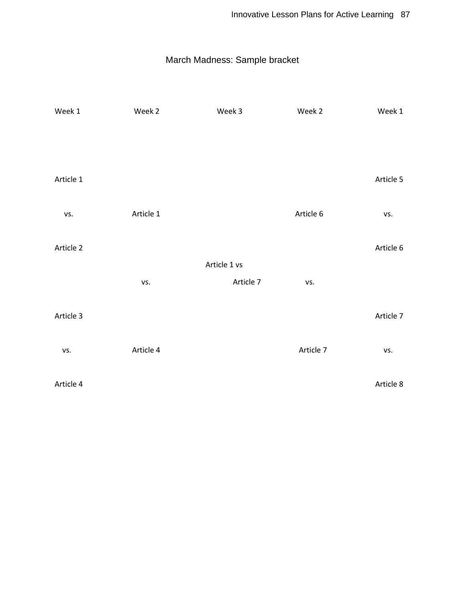## March Madness: Sample bracket

| Week 1    | Week 2    | Week 3       | Week 2    | Week 1    |
|-----------|-----------|--------------|-----------|-----------|
|           |           |              |           |           |
|           |           |              |           |           |
|           |           |              |           |           |
| Article 1 |           |              |           | Article 5 |
|           |           |              |           |           |
| VS.       | Article 1 |              | Article 6 | VS.       |
| Article 2 |           |              |           | Article 6 |
|           |           | Article 1 vs |           |           |
|           | VS.       | Article 7    | VS.       |           |
|           |           |              |           |           |
| Article 3 |           |              |           | Article 7 |
|           |           |              |           |           |
| VS.       | Article 4 |              | Article 7 | vs.       |
|           |           |              |           |           |
| Article 4 |           |              |           | Article 8 |